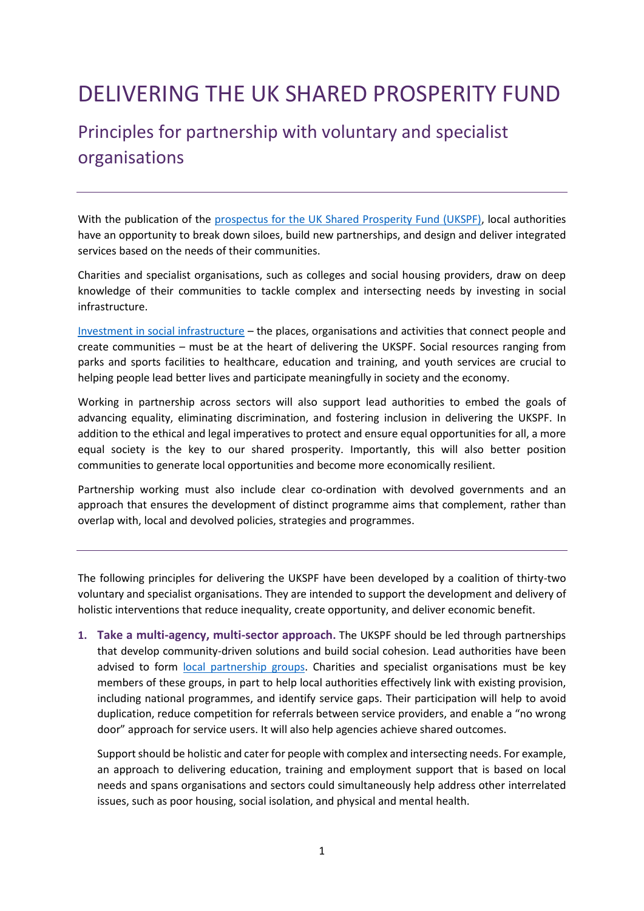## DELIVERING THE UK SHARED PROSPERITY FUND

## Principles for partnership with voluntary and specialist organisations

With the publication of the [prospectus for the UK Shared Prosperity Fund \(UKSPF\),](https://www.gov.uk/government/collections/new-levelling-up-and-community-investments#the-uk-shared-prosperity-fund) local authorities have an opportunity to break down siloes, build new partnerships, and design and deliver integrated services based on the needs of their communities.

Charities and specialist organisations, such as colleges and social housing providers, draw on deep knowledge of their communities to tackle complex and intersecting needs by investing in social infrastructure.

[Investment in social infrastructure](https://localtrust.org.uk/wp-content/uploads/2021/07/Frontier-Economics_the-impacts-of-social-infrastructure-investment.pdf) – the places, organisations and activities that connect people and create communities – must be at the heart of delivering the UKSPF. Social resources ranging from parks and sports facilities to healthcare, education and training, and youth services are crucial to helping people lead better lives and participate meaningfully in society and the economy.

Working in partnership across sectors will also support lead authorities to embed the goals of advancing equality, eliminating discrimination, and fostering inclusion in delivering the UKSPF. In addition to the ethical and legal imperatives to protect and ensure equal opportunities for all, a more equal society is the key to our shared prosperity. Importantly, this will also better position communities to generate local opportunities and become more economically resilient.

Partnership working must also include clear co-ordination with devolved governments and an approach that ensures the development of distinct programme aims that complement, rather than overlap with, local and devolved policies, strategies and programmes.

The following principles for delivering the UKSPF have been developed by a coalition of thirty-two voluntary and specialist organisations. They are intended to support the development and delivery of holistic interventions that reduce inequality, create opportunity, and deliver economic benefit.

**1. Take a multi-agency, multi-sector approach.** The UKSPF should be led through partnerships that develop community-driven solutions and build social cohesion. Lead authorities have been advised to form [local partnership groups.](https://www.gov.uk/government/publications/uk-shared-prosperity-fund-prospectus/uk-shared-prosperity-fund-prospectus#:~:text=5.1%20Local%20partnership%20groups) Charities and specialist organisations must be key members of these groups, in part to help local authorities effectively link with existing provision, including national programmes, and identify service gaps. Their participation will help to avoid duplication, reduce competition for referrals between service providers, and enable a "no wrong door" approach for service users. It will also help agencies achieve shared outcomes.

Support should be holistic and cater for people with complex and intersecting needs. For example, an approach to delivering education, training and employment support that is based on local needs and spans organisations and sectors could simultaneously help address other interrelated issues, such as poor housing, social isolation, and physical and mental health.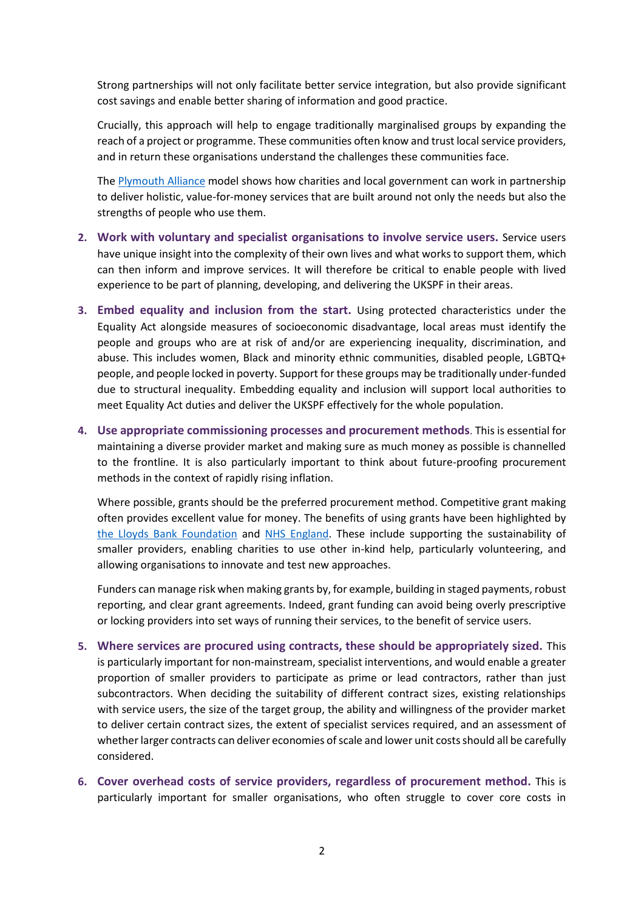Strong partnerships will not only facilitate better service integration, but also provide significant cost savings and enable better sharing of information and good practice.

Crucially, this approach will help to engage traditionally marginalised groups by expanding the reach of a project or programme. These communities often know and trust local service providers, and in return these organisations understand the challenges these communities face.

The [Plymouth Alliance](https://theplymouthalliance.co.uk/) model shows how charities and local government can work in partnership to deliver holistic, value-for-money services that are built around not only the needs but also the strengths of people who use them.

- **2. Work with voluntary and specialist organisations to involve service users.** Service users have unique insight into the complexity of their own lives and what works to support them, which can then inform and improve services. It will therefore be critical to enable people with lived experience to be part of planning, developing, and delivering the UKSPF in their areas.
- **3. Embed equality and inclusion from the start.** Using protected characteristics under the Equality Act alongside measures of socioeconomic disadvantage, local areas must identify the people and groups who are at risk of and/or are experiencing inequality, discrimination, and abuse. This includes women, Black and minority ethnic communities, disabled people, LGBTQ+ people, and people locked in poverty. Support for these groups may be traditionally under-funded due to structural inequality. Embedding equality and inclusion will support local authorities to meet Equality Act duties and deliver the UKSPF effectively for the whole population.
- **4. Use appropriate commissioning processes and procurement methods**. This is essential for maintaining a diverse provider market and making sure as much money as possible is channelled to the frontline. It is also particularly important to think about future-proofing procurement methods in the context of rapidly rising inflation.

Where possible, grants should be the preferred procurement method. Competitive grant making often provides excellent value for money. The benefits of using grants have been highlighted by [the Lloyds Bank Foundation](https://vcsereview.org.uk/2015/09/01/the-strengths-and-drawbacks-of-grant-funding-creating-a-sustainable-funding-mix/) and [NHS England.](https://www.england.nhs.uk/nhs-standard-contract/grant-agreement/) These include supporting the sustainability of smaller providers, enabling charities to use other in-kind help, particularly volunteering, and allowing organisations to innovate and test new approaches.

Funders can manage risk when making grants by, for example, building in staged payments, robust reporting, and clear grant agreements. Indeed, grant funding can avoid being overly prescriptive or locking providers into set ways of running their services, to the benefit of service users.

- **5. Where services are procured using contracts, these should be appropriately sized.** This is particularly important for non-mainstream, specialist interventions, and would enable a greater proportion of smaller providers to participate as prime or lead contractors, rather than just subcontractors. When deciding the suitability of different contract sizes, existing relationships with service users, the size of the target group, the ability and willingness of the provider market to deliver certain contract sizes, the extent of specialist services required, and an assessment of whether larger contracts can deliver economies of scale and lower unit costs should all be carefully considered.
- **6. Cover overhead costs of service providers, regardless of procurement method.** This is particularly important for smaller organisations, who often struggle to cover core costs in